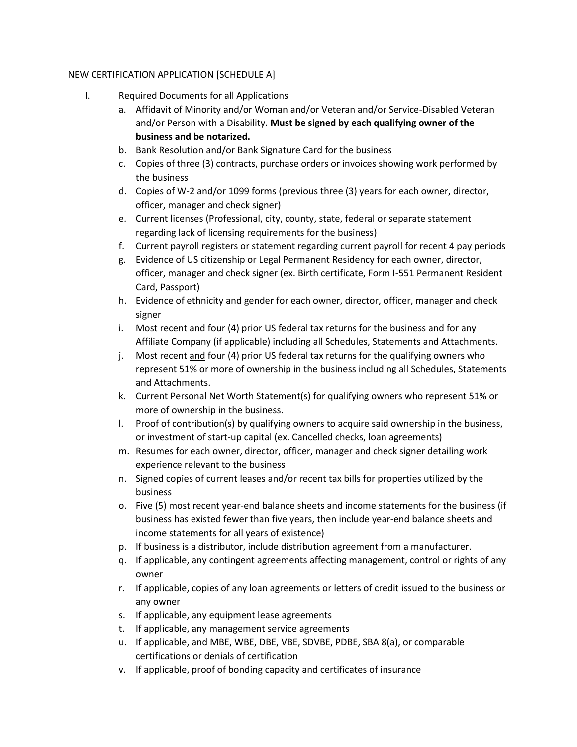## NEW CERTIFICATION APPLICATION [SCHEDULE A]

- I. Required Documents for all Applications
	- a. Affidavit of Minority and/or Woman and/or Veteran and/or Service-Disabled Veteran and/or Person with a Disability. **Must be signed by each qualifying owner of the business and be notarized.**
	- b. Bank Resolution and/or Bank Signature Card for the business
	- c. Copies of three (3) contracts, purchase orders or invoices showing work performed by the business
	- d. Copies of W-2 and/or 1099 forms (previous three (3) years for each owner, director, officer, manager and check signer)
	- e. Current licenses (Professional, city, county, state, federal or separate statement regarding lack of licensing requirements for the business)
	- f. Current payroll registers or statement regarding current payroll for recent 4 pay periods
	- g. Evidence of US citizenship or Legal Permanent Residency for each owner, director, officer, manager and check signer (ex. Birth certificate, Form I-551 Permanent Resident Card, Passport)
	- h. Evidence of ethnicity and gender for each owner, director, officer, manager and check signer
	- i. Most recent and four (4) prior US federal tax returns for the business and for any Affiliate Company (if applicable) including all Schedules, Statements and Attachments.
	- j. Most recent and four (4) prior US federal tax returns for the qualifying owners who represent 51% or more of ownership in the business including all Schedules, Statements and Attachments.
	- k. Current Personal Net Worth Statement(s) for qualifying owners who represent 51% or more of ownership in the business.
	- l. Proof of contribution(s) by qualifying owners to acquire said ownership in the business, or investment of start-up capital (ex. Cancelled checks, loan agreements)
	- m. Resumes for each owner, director, officer, manager and check signer detailing work experience relevant to the business
	- n. Signed copies of current leases and/or recent tax bills for properties utilized by the business
	- o. Five (5) most recent year-end balance sheets and income statements for the business (if business has existed fewer than five years, then include year-end balance sheets and income statements for all years of existence)
	- p. If business is a distributor, include distribution agreement from a manufacturer.
	- q. If applicable, any contingent agreements affecting management, control or rights of any owner
	- r. If applicable, copies of any loan agreements or letters of credit issued to the business or any owner
	- s. If applicable, any equipment lease agreements
	- t. If applicable, any management service agreements
	- u. If applicable, and MBE, WBE, DBE, VBE, SDVBE, PDBE, SBA 8(a), or comparable certifications or denials of certification
	- v. If applicable, proof of bonding capacity and certificates of insurance